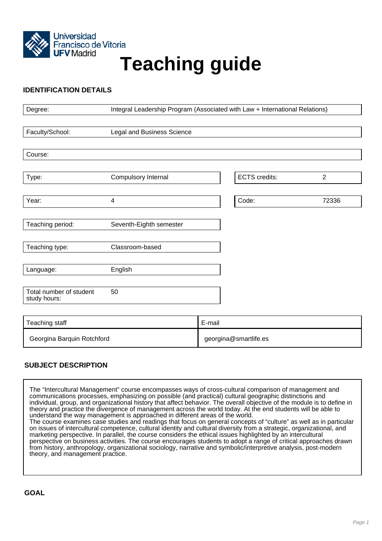

# **Teaching guide**

# **IDENTIFICATION DETAILS**

| Degree:                                 | Integral Leadership Program (Associated with Law + International Relations) |        |                       |                |
|-----------------------------------------|-----------------------------------------------------------------------------|--------|-----------------------|----------------|
|                                         |                                                                             |        |                       |                |
| Faculty/School:                         | <b>Legal and Business Science</b>                                           |        |                       |                |
|                                         |                                                                             |        |                       |                |
| Course:                                 |                                                                             |        |                       |                |
|                                         |                                                                             |        |                       |                |
| Type:                                   | Compulsory Internal                                                         |        | <b>ECTS</b> credits:  | $\overline{2}$ |
|                                         |                                                                             |        |                       |                |
| Year:                                   | 4                                                                           |        | Code:                 | 72336          |
|                                         |                                                                             |        |                       |                |
| Teaching period:                        | Seventh-Eighth semester                                                     |        |                       |                |
|                                         |                                                                             |        |                       |                |
| Teaching type:                          | Classroom-based                                                             |        |                       |                |
|                                         |                                                                             |        |                       |                |
| Language:                               | English                                                                     |        |                       |                |
|                                         |                                                                             |        |                       |                |
| Total number of student<br>study hours: | 50                                                                          |        |                       |                |
|                                         |                                                                             |        |                       |                |
| Teaching staff                          |                                                                             | E-mail |                       |                |
| Georgina Barquin Rotchford              |                                                                             |        | georgina@smartlife.es |                |

# **SUBJECT DESCRIPTION**

The "Intercultural Management" course encompasses ways of cross-cultural comparison of management and communications processes, emphasizing on possible (and practical) cultural geographic distinctions and individual, group, and organizational history that affect behavior. The overall objective of the module is to define in theory and practice the divergence of management across the world today. At the end students will be able to understand the way management is approached in different areas of the world. The course examines case studies and readings that focus on general concepts of "culture" as well as in particular

on issues of intercultural competence, cultural identity and cultural diversity from a strategic, organizational, and marketing perspective. In parallel, the course considers the ethical issues highlighted by an intercultural perspective on business activities. The course encourages students to adopt a range of critical approaches drawn from history, anthropology, organizational sociology, narrative and symbolic/interpretive analysis, post-modern theory, and management practice.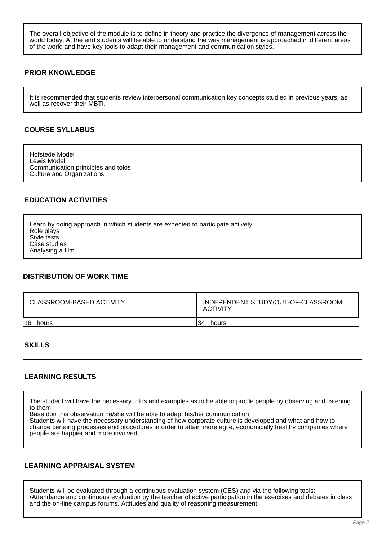The overall objective of the module is to define in theory and practice the divergence of management across the world today. At the end students will be able to understand the way management is approached in different areas of the world and have key tools to adapt their management and communication styles.

## **PRIOR KNOWLEDGE**

It is recommended that students review interpersonal communication key concepts studied in previous years, as well as recover their MBTI.

## **COURSE SYLLABUS**

Hofstede Model Lewis Model Communication principles and tolos Culture and Organizations

## **EDUCATION ACTIVITIES**

Learn by doing approach in which students are expected to participate actively. Role plays Style tests Case studies Analysing a film

#### **DISTRIBUTION OF WORK TIME**

| CLASSROOM-BASED ACTIVITY | INDEPENDENT STUDY/OUT-OF-CLASSROOM<br>ACTIVITY |  |
|--------------------------|------------------------------------------------|--|
| 16                       | 34                                             |  |
| hours                    | hours                                          |  |

#### **SKILLS**

#### **LEARNING RESULTS**

The student will have the necessary tolos and examples as to be able to profile people by observing and listening to them.

Base don this observation he/she will be able to adapt his/her communication

Students will have the necessary understanding of how corporate culture is developed and what and how to change certaing processes and procedures in order to attain more agile, economically healthy companies where people are happier and more involved.

#### **LEARNING APPRAISAL SYSTEM**

Students will be evaluated through a continuous evaluation system (CES) and via the following tools: •Attendance and continuous evaluation by the teacher of active participation in the exercises and debates in class and the on-line campus forums. Attitudes and quality of reasoning measurement.